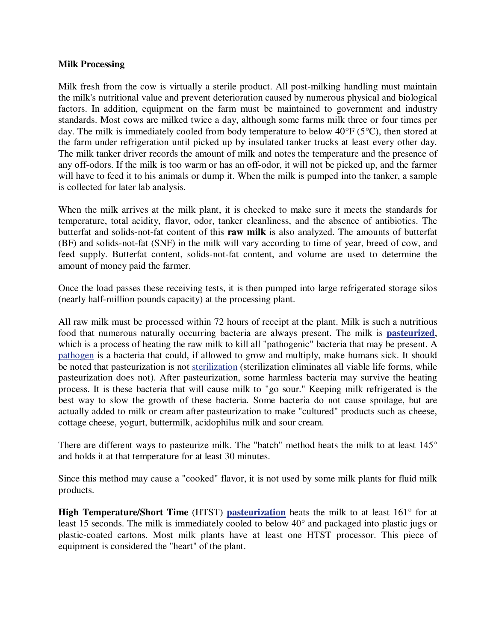## **Milk Processing**

Milk fresh from the cow is virtually a sterile product. All post-milking handling must maintain the milk's nutritional value and prevent deterioration caused by numerous physical and biological factors. In addition, equipment on the farm must be maintained to government and industry standards. Most cows are milked twice a day, although some farms milk three or four times per day. The milk is immediately cooled from body temperature to below 40°F (5°C), then stored at the farm under refrigeration until picked up by insulated tanker trucks at least every other day. The milk tanker driver records the amount of milk and notes the temperature and the presence of any off-odors. If the milk is too warm or has an off-odor, it will not be picked up, and the farmer will have to feed it to his animals or dump it. When the milk is pumped into the tanker, a sample is collected for later lab analysis.

When the milk arrives at the milk plant, it is checked to make sure it meets the standards for temperature, total acidity, flavor, odor, tanker cleanliness, and the absence of antibiotics. The butterfat and solids-not-fat content of this **raw milk** is also analyzed. The amounts of butterfat (BF) and solids-not-fat (SNF) in the milk will vary according to time of year, breed of cow, and feed supply. Butterfat content, solids-not-fat content, and volume are used to determine the amount of money paid the farmer.

Once the load passes these receiving tests, it is then pumped into large refrigerated storage silos (nearly half-million pounds capacity) at the processing plant.

All raw milk must be processed within 72 hours of receipt at the plant. Milk is such a nutritious food that numerous naturally occurring bacteria are always present. The milk is **pasteurized**, which is a process of heating the raw milk to kill all "pathogenic" bacteria that may be present. A pathogen is a bacteria that could, if allowed to grow and multiply, make humans sick. It should be noted that pasteurization is not sterilization (sterilization eliminates all viable life forms, while pasteurization does not). After pasteurization, some harmless bacteria may survive the heating process. It is these bacteria that will cause milk to "go sour." Keeping milk refrigerated is the best way to slow the growth of these bacteria. Some bacteria do not cause spoilage, but are actually added to milk or cream after pasteurization to make "cultured" products such as cheese, cottage cheese, yogurt, buttermilk, acidophilus milk and sour cream.

There are different ways to pasteurize milk. The "batch" method heats the milk to at least 145° and holds it at that temperature for at least 30 minutes.

Since this method may cause a "cooked" flavor, it is not used by some milk plants for fluid milk products.

**High Temperature/Short Time** (HTST) **pasteurization** heats the milk to at least 161° for at least 15 seconds. The milk is immediately cooled to below 40° and packaged into plastic jugs or plastic-coated cartons. Most milk plants have at least one HTST processor. This piece of equipment is considered the "heart" of the plant.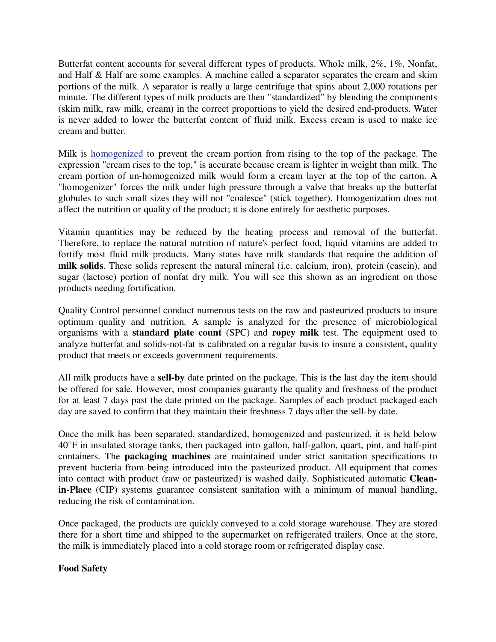Butterfat content accounts for several different types of products. Whole milk, 2%, 1%, Nonfat, and Half & Half are some examples. A machine called a separator separates the cream and skim portions of the milk. A separator is really a large centrifuge that spins about 2,000 rotations per minute. The different types of milk products are then "standardized" by blending the components (skim milk, raw milk, cream) in the correct proportions to yield the desired end-products. Water is never added to lower the butterfat content of fluid milk. Excess cream is used to make ice cream and butter.

Milk is homogenized to prevent the cream portion from rising to the top of the package. The expression "cream rises to the top," is accurate because cream is lighter in weight than milk. The cream portion of un-homogenized milk would form a cream layer at the top of the carton. A "homogenizer" forces the milk under high pressure through a valve that breaks up the butterfat globules to such small sizes they will not "coalesce" (stick together). Homogenization does not affect the nutrition or quality of the product; it is done entirely for aesthetic purposes.

Vitamin quantities may be reduced by the heating process and removal of the butterfat. Therefore, to replace the natural nutrition of nature's perfect food, liquid vitamins are added to fortify most fluid milk products. Many states have milk standards that require the addition of **milk solids**. These solids represent the natural mineral (i.e. calcium, iron), protein (casein), and sugar (lactose) portion of nonfat dry milk. You will see this shown as an ingredient on those products needing fortification.

Quality Control personnel conduct numerous tests on the raw and pasteurized products to insure optimum quality and nutrition. A sample is analyzed for the presence of microbiological organisms with a **standard plate count** (SPC) and **ropey milk** test. The equipment used to analyze butterfat and solids-not-fat is calibrated on a regular basis to insure a consistent, quality product that meets or exceeds government requirements.

All milk products have a **sell-by** date printed on the package. This is the last day the item should be offered for sale. However, most companies guaranty the quality and freshness of the product for at least 7 days past the date printed on the package. Samples of each product packaged each day are saved to confirm that they maintain their freshness 7 days after the sell-by date.

Once the milk has been separated, standardized, homogenized and pasteurized, it is held below 40°F in insulated storage tanks, then packaged into gallon, half-gallon, quart, pint, and half-pint containers. The **packaging machines** are maintained under strict sanitation specifications to prevent bacteria from being introduced into the pasteurized product. All equipment that comes into contact with product (raw or pasteurized) is washed daily. Sophisticated automatic **Cleanin-Place** (CIP) systems guarantee consistent sanitation with a minimum of manual handling, reducing the risk of contamination.

Once packaged, the products are quickly conveyed to a cold storage warehouse. They are stored there for a short time and shipped to the supermarket on refrigerated trailers. Once at the store, the milk is immediately placed into a cold storage room or refrigerated display case.

## **Food Safety**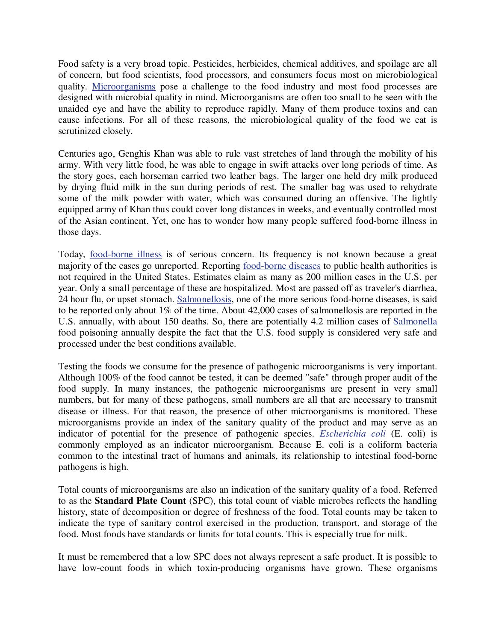Food safety is a very broad topic. Pesticides, herbicides, chemical additives, and spoilage are all of concern, but food scientists, food processors, and consumers focus most on microbiological quality. Microorganisms pose a challenge to the food industry and most food processes are designed with microbial quality in mind. Microorganisms are often too small to be seen with the unaided eye and have the ability to reproduce rapidly. Many of them produce toxins and can cause infections. For all of these reasons, the microbiological quality of the food we eat is scrutinized closely.

Centuries ago, Genghis Khan was able to rule vast stretches of land through the mobility of his army. With very little food, he was able to engage in swift attacks over long periods of time. As the story goes, each horseman carried two leather bags. The larger one held dry milk produced by drying fluid milk in the sun during periods of rest. The smaller bag was used to rehydrate some of the milk powder with water, which was consumed during an offensive. The lightly equipped army of Khan thus could cover long distances in weeks, and eventually controlled most of the Asian continent. Yet, one has to wonder how many people suffered food-borne illness in those days.

Today, food-borne illness is of serious concern. Its frequency is not known because a great majority of the cases go unreported. Reporting food-borne diseases to public health authorities is not required in the United States. Estimates claim as many as 200 million cases in the U.S. per year. Only a small percentage of these are hospitalized. Most are passed off as traveler's diarrhea, 24 hour flu, or upset stomach. Salmonellosis, one of the more serious food-borne diseases, is said to be reported only about 1% of the time. About 42,000 cases of salmonellosis are reported in the U.S. annually, with about 150 deaths. So, there are potentially 4.2 million cases of Salmonella food poisoning annually despite the fact that the U.S. food supply is considered very safe and processed under the best conditions available.

Testing the foods we consume for the presence of pathogenic microorganisms is very important. Although 100% of the food cannot be tested, it can be deemed "safe" through proper audit of the food supply. In many instances, the pathogenic microorganisms are present in very small numbers, but for many of these pathogens, small numbers are all that are necessary to transmit disease or illness. For that reason, the presence of other microorganisms is monitored. These microorganisms provide an index of the sanitary quality of the product and may serve as an indicator of potential for the presence of pathogenic species. *Escherichia coli* (E. coli) is commonly employed as an indicator microorganism. Because E. coli is a coliform bacteria common to the intestinal tract of humans and animals, its relationship to intestinal food-borne pathogens is high.

Total counts of microorganisms are also an indication of the sanitary quality of a food. Referred to as the **Standard Plate Count** (SPC), this total count of viable microbes reflects the handling history, state of decomposition or degree of freshness of the food. Total counts may be taken to indicate the type of sanitary control exercised in the production, transport, and storage of the food. Most foods have standards or limits for total counts. This is especially true for milk.

It must be remembered that a low SPC does not always represent a safe product. It is possible to have low-count foods in which toxin-producing organisms have grown. These organisms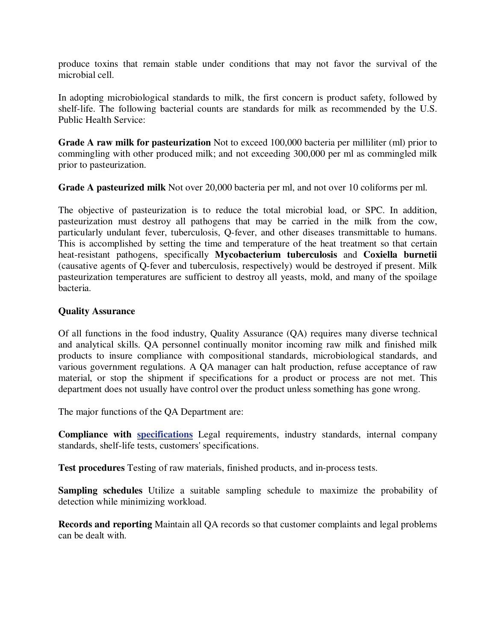produce toxins that remain stable under conditions that may not favor the survival of the microbial cell.

In adopting microbiological standards to milk, the first concern is product safety, followed by shelf-life. The following bacterial counts are standards for milk as recommended by the U.S. Public Health Service:

**Grade A raw milk for pasteurization** Not to exceed 100,000 bacteria per milliliter (ml) prior to commingling with other produced milk; and not exceeding 300,000 per ml as commingled milk prior to pasteurization.

**Grade A pasteurized milk** Not over 20,000 bacteria per ml, and not over 10 coliforms per ml.

The objective of pasteurization is to reduce the total microbial load, or SPC. In addition, pasteurization must destroy all pathogens that may be carried in the milk from the cow, particularly undulant fever, tuberculosis, Q-fever, and other diseases transmittable to humans. This is accomplished by setting the time and temperature of the heat treatment so that certain heat-resistant pathogens, specifically **Mycobacterium tuberculosis** and **Coxiella burnetii** (causative agents of Q-fever and tuberculosis, respectively) would be destroyed if present. Milk pasteurization temperatures are sufficient to destroy all yeasts, mold, and many of the spoilage bacteria.

## **Quality Assurance**

Of all functions in the food industry, Quality Assurance (QA) requires many diverse technical and analytical skills. QA personnel continually monitor incoming raw milk and finished milk products to insure compliance with compositional standards, microbiological standards, and various government regulations. A QA manager can halt production, refuse acceptance of raw material, or stop the shipment if specifications for a product or process are not met. This department does not usually have control over the product unless something has gone wrong.

The major functions of the QA Department are:

**Compliance with specifications** Legal requirements, industry standards, internal company standards, shelf-life tests, customers' specifications.

**Test procedures** Testing of raw materials, finished products, and in-process tests.

**Sampling schedules** Utilize a suitable sampling schedule to maximize the probability of detection while minimizing workload.

**Records and reporting** Maintain all QA records so that customer complaints and legal problems can be dealt with.